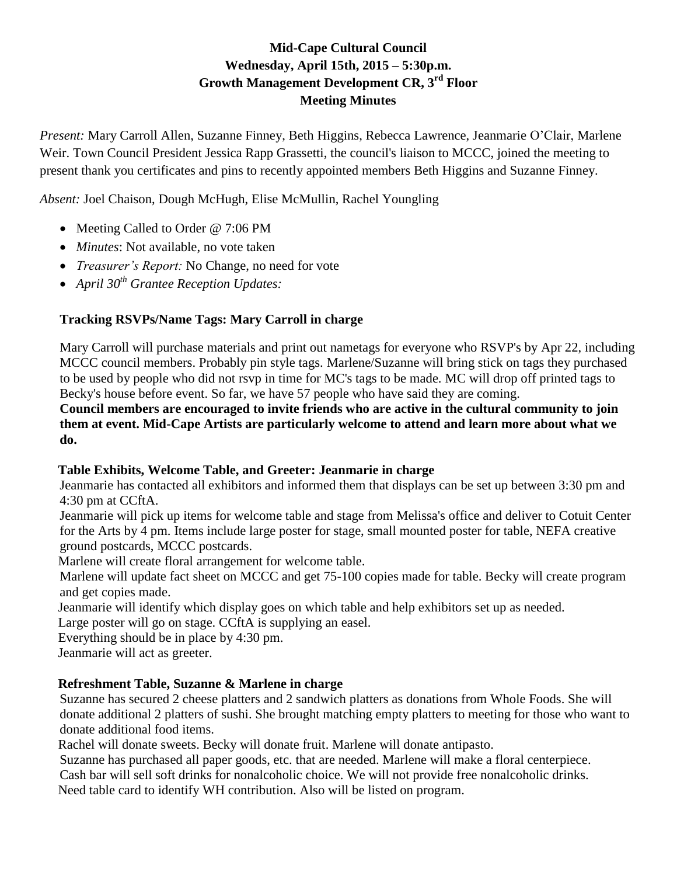# **Mid-Cape Cultural Council Wednesday, April 15th, 2015 – 5:30p.m. Growth Management Development CR, 3rd Floor Meeting Minutes**

*Present:* Mary Carroll Allen, Suzanne Finney, Beth Higgins, Rebecca Lawrence, Jeanmarie O'Clair, Marlene Weir. Town Council President Jessica Rapp Grassetti, the council's liaison to MCCC, joined the meeting to present thank you certificates and pins to recently appointed members Beth Higgins and Suzanne Finney.

*Absent:* Joel Chaison, Dough McHugh, Elise McMullin, Rachel Youngling

- Meeting Called to Order @ 7:06 PM
- *Minutes*: Not available, no vote taken
- *Treasurer's Report:* No Change, no need for vote
- *April 30th Grantee Reception Updates:*

# **Tracking RSVPs/Name Tags: Mary Carroll in charge**

Mary Carroll will purchase materials and print out nametags for everyone who RSVP's by Apr 22, including MCCC council members. Probably pin style tags. Marlene/Suzanne will bring stick on tags they purchased to be used by people who did not rsvp in time for MC's tags to be made. MC will drop off printed tags to Becky's house before event. So far, we have 57 people who have said they are coming.

**Council members are encouraged to invite friends who are active in the cultural community to join them at event. Mid-Cape Artists are particularly welcome to attend and learn more about what we do.**

## **Table Exhibits, Welcome Table, and Greeter: Jeanmarie in charge**

Jeanmarie has contacted all exhibitors and informed them that displays can be set up between 3:30 pm and 4:30 pm at CCftA.

Jeanmarie will pick up items for welcome table and stage from Melissa's office and deliver to Cotuit Center for the Arts by 4 pm. Items include large poster for stage, small mounted poster for table, NEFA creative ground postcards, MCCC postcards.

Marlene will create floral arrangement for welcome table.

Marlene will update fact sheet on MCCC and get 75-100 copies made for table. Becky will create program and get copies made.

Jeanmarie will identify which display goes on which table and help exhibitors set up as needed.

Large poster will go on stage. CCftA is supplying an easel.

Everything should be in place by 4:30 pm.

Jeanmarie will act as greeter.

## **Refreshment Table, Suzanne & Marlene in charge**

Suzanne has secured 2 cheese platters and 2 sandwich platters as donations from Whole Foods. She will donate additional 2 platters of sushi. She brought matching empty platters to meeting for those who want to donate additional food items.

Rachel will donate sweets. Becky will donate fruit. Marlene will donate antipasto.

Suzanne has purchased all paper goods, etc. that are needed. Marlene will make a floral centerpiece.

Cash bar will sell soft drinks for nonalcoholic choice. We will not provide free nonalcoholic drinks.

Need table card to identify WH contribution. Also will be listed on program.